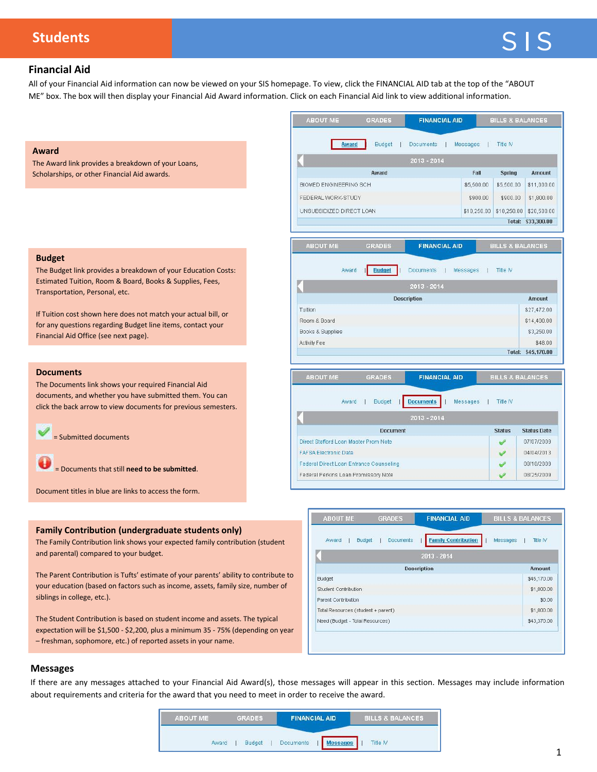# **Students**

# **Financial Aid**

All of your Financial Aid information can now be viewed on your SIS homepage. To view, click the FINANCIAL AID tab at the top of the "ABOUT ME" box. The box will then display your Financial Aid Award information. Click on each Financial Aid link to view additional information.

### **Award**

The Award link provides a breakdown of your Loans, Scholarships, or other Financial Aid awards.

#### **Budget**

The Budget link provides a breakdown of your Education Costs: Estimated Tuition, Room & Board, Books & Supplies, Fees, Transportation, Personal, etc.

If Tuition cost shown here does not match your actual bill, or for any questions regarding Budget line items, contact your Financial Aid Office (see next page).

#### **Documents**

The Documents link shows your required Financial Aid documents, and whether you have submitted them. You can click the back arrow to view documents for previous semesters.

= Submitted documents

= Documents that still **need to be submitted**.

Document titles in blue are links to access the form.

#### **Family Contribution (undergraduate students only)**

The Family Contribution link shows your expected family contribution (student and parental) compared to your budget.

The Parent Contribution is Tufts' estimate of your parents' ability to contribute to your education (based on factors such as income, assets, family size, number of siblings in college, etc.).

The Student Contribution is based on student income and assets. The typical expectation will be \$1,500 - \$2,200, plus a minimum 35 - 75% (depending on year – freshman, sophomore, etc.) of reported assets in your name.



| Award<br><b>Budget</b>             | Documents | <b>Family Contribution</b> | Messages | PRODUCTION<br><b>Title IV</b> |
|------------------------------------|-----------|----------------------------|----------|-------------------------------|
|                                    |           | 2013 - 2014                |          |                               |
|                                    |           | <b>Description</b>         |          | <b>Amount</b>                 |
| <b>Budget</b>                      |           |                            |          | \$45,170.00                   |
| Student Contribution               |           |                            |          | \$1,800.00                    |
| Parent Contribution                |           |                            |          | \$0.00                        |
| Total Resources (student + parent) |           |                            |          | \$1,800.00                    |
| Need (Budget - Total Resources)    |           |                            |          | \$43,370.00                   |

### **Messages**

If there are any messages attached to your Financial Aid Award(s), those messages will appear in this section. Messages may include information about requirements and criteria for the award that you need to meet in order to receive the award.

| <b>ABOUT ME</b> | <b>GRADES</b> | <b>FINANCIAL AID</b>         | <b>BILLS &amp; BALANCES</b> |
|-----------------|---------------|------------------------------|-----------------------------|
| Award           | <b>Budget</b> | Documents<br><b>Messages</b> | <b>Title IV</b>             |